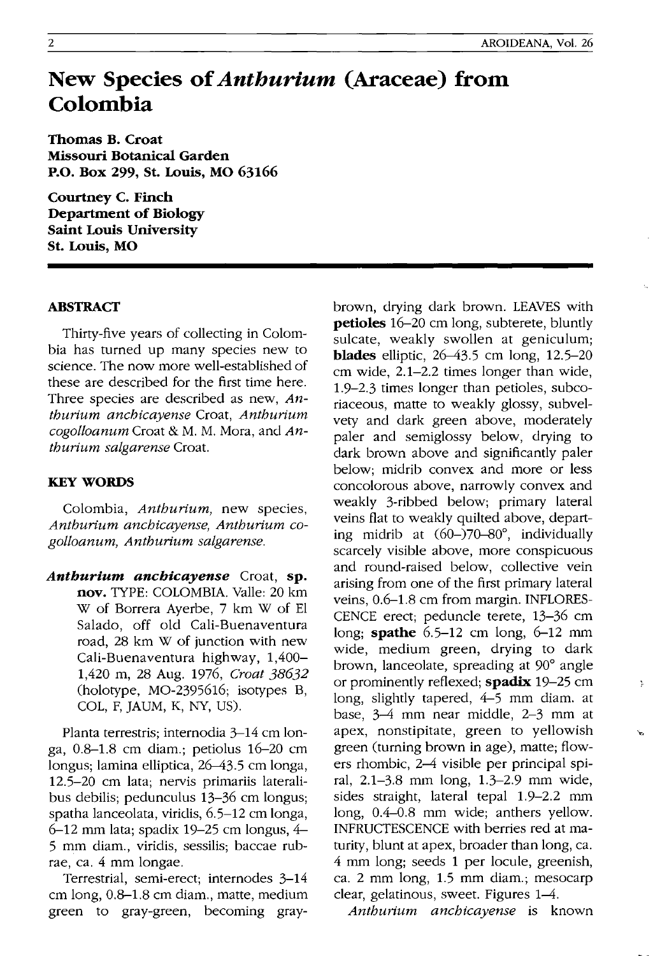## **New Species of** *Anthurium* **(Araceae) from Colombia**

**Thomas B. Croat Missouri Botanical Garden P.O. Box 299, St. Louis, MO 63166** 

**Courtney C. Finch Department of Biology Saint Louis University St. Louis, MO** 

## **ABSTRACT**

Thirty-five years of collecting in Colombia has turned up many species new to science. The now more well-established of these are described for the first time here. Three species are described as new, *Anthurium anchicayense* Croat, *Anthurium cogolloanum* Croat & M. M. Mora, and *Anthurium salgarense* Croat.

## **KEYWORDS**

Colombia, *Anthurium,* new species, *Anthurium anchicayense, Anthurium cogolloanum, Anthurium salgarense.* 

*Anthurium anchicayense* Croat, **sp. nov.** TYPE: COLOMBIA. Valle: 20 km W of Borrera Ayerbe, 7 km W of El Salado, off old Cali-Buenaventura road, 28 km W of junction with new Cali-Buenaventura highway, 1,400- 1,420 m, 28 Aug. 1976, *Croat 38632*  (holotype, MO-2395616; isotypes B, COL, F, JAUM, K, NY, US).

Planta terrestris; internodia 3–14 cm longa, 0.8-1.8 cm diam.; petiolus 16-20 cm longus; lamina elliptica, 26-43.5 cm longa, 12.5-20 cm lata; nervis primariis lateralibus debilis; pedunculus 13-36 cm longus; spatha lanceolata, viridis, 6.5-12 cm longa, 6-12 mm lata; spadix 19-25 cm longus, 4- 5 mm diam., viridis, sessilis; baccae rubrae, ca. 4 mm longae.

Terrestrial, semi-erect; internodes 3-14 cm long, 0.8-1.8 cm diam., matte, medium green to gray-green, becoming graybrown, drying dark brown. LEAVES with **petioles** 16–20 cm long, subterete, bluntly sulcate, weakly swollen at geniculum; **blades** elliptic, 26–43.5 cm long, 12.5–20 cm wide, 2.1-2.2 times longer than wide, 1.9-2.3 times longer than petioles, subcoriaceous, matte to weakly glossy, subvelvety and dark green above, moderately paler and semiglossy below, drying to dark brown above and significantly paler below; midrib convex and more or less concolorous above, narrowly convex and weakly 3-ribbed below; primary lateral veins flat to weakly quilted above, departing midrib at (60-)70-80°, individually scarcely visible above, more conspicuous and round-raised below, collective vein arising from one of the first primary lateral veins, 0.6-1.8 cm from margin. INFLORES-CENCE erect; peduncle terete, 13-36 cm long; **spathe** 6.5-12 cm long, 6-12 mm wide, medium green, drying to dark brown, lanceolate, spreading at 90° angle or prominently reflexed; **spadix** 19-25 cm long, slightly tapered, 4-5 mm diam. at base, 3-4 mm near middle, 2-3 mm at apex, nonstipitate, green to yellowish green (turning brown in age), matte; flowers rhombic, 2-4 visible per principal spiral, 2.1-3.8 mm long, 1.3-2.9 mm wide, sides straight, lateral tepal 1.9-2.2 mm long, 0.4-0.8 mm wide; anthers yellow. INFRUCTESCENCE with berries red at maturity, blunt at apex, broader than long, ca. 4 mm long; seeds 1 per locule, greenish, ca. 2 mm long, 1.5 mm diam.; mesocarp clear, gelatinous, sweet. Figures 1-4.

Y

*Anthurium anchicayense* is known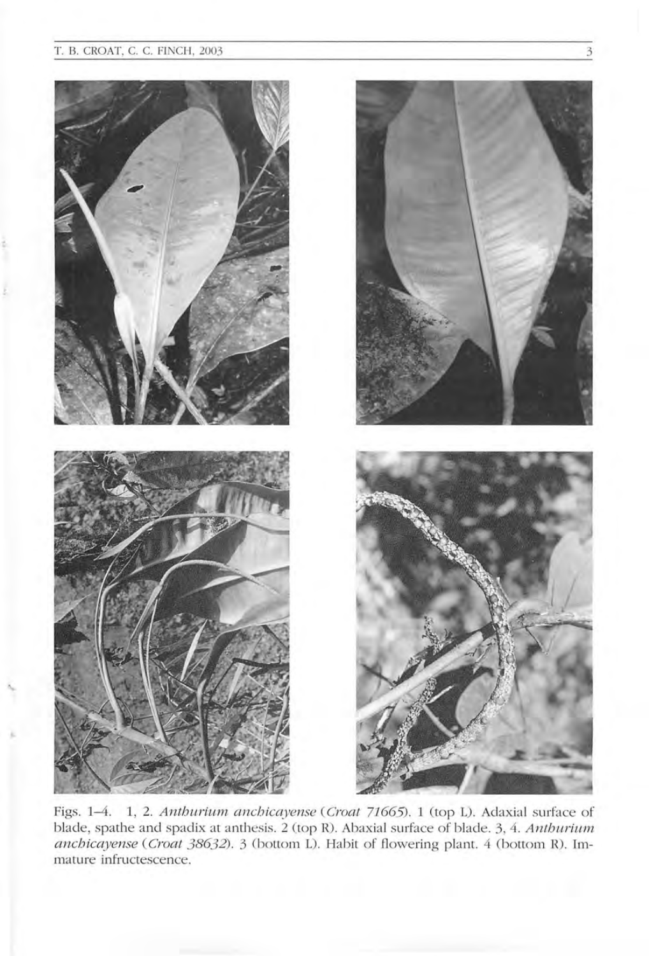'.

'-



Figs. 1-4. 1, 2. *Anthurium anchicayense* (*Croat 71665*). 1 (top L). Adaxial surface of blade, spathe and spadix at anthesis. 2 (top R). Abaxial surface of blade. 3, 4. *Anthurium anchicayense* (*Croat 38632*). 3 (bottom L). Habit of flowering plant. 4 (bottom R). Immature infructescence.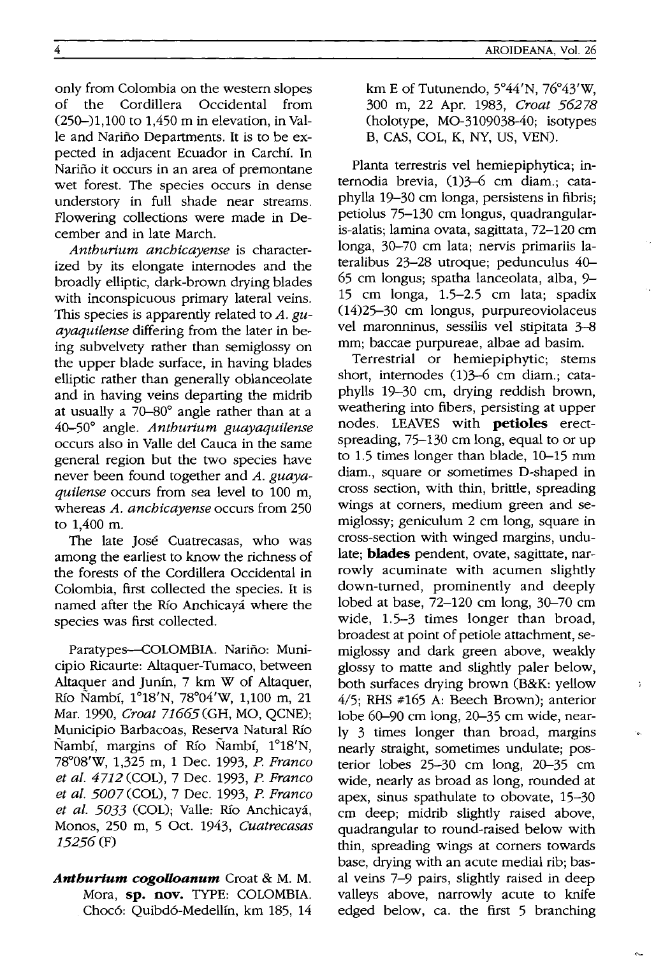only from Colombia on the western slopes<br>of the Cordillera Occidental from the Cordillera Occidental from (250-)1,100 to 1,450 m in elevation, in Valle and Narino Departments. It is to be expected in adjacent Ecuador in Carchf. In Nariño it occurs in an area of premontane wet forest. The species occurs in dense understory in full shade near streams. Flowering collections were made in December and in late March.

*Anthurium anchicayense* is characterized by its elongate internodes and the broadly elliptic, dark-brown drying blades with inconspicuous primary lateral veins. This species is apparently related to *A. guayaquitense* differing from the later in being subvelvety rather than semiglossy on the upper blade surface, in having blades elliptic rather than generally oblanceolate and in having veins departing the midrib at usually a 70-80° angle rather than at a 40-50° angle. *Anthurium guayaquitense*  occurs also in Valle del Cauca in the same general region but the two species have never been found together and *A. guayaquilense* occurs from sea level to 100 m, whereas *A. anchicayense* occurs from 250 to 1,400 m.

The late José Cuatrecasas, who was among the earliest to know the richness of the forests of the Cordillera Occidental in Colombia, first collected the species. It is named after the Río Anchicayá where the species was first collected.

Paratypes-COLOMBIA. Nariño: Municipio Ricaurte: Altaquer-Tumaco, between Altaquer and Junfn, 7 km W of Altaquer, Río Nambí, 1°18'N, 78°04'W, 1,100 m, 21 Mar. 1990, *Croat* 71665 (GH, MO, QCNE); Municipio Barbacoas, Reserva Natural Río Nambí, margins of Río Nambí, 1<sup>°</sup>18<sup>'</sup>N, 78°08'W, 1,325 m, 1 Dec. 1993, *P. Franco et at.* 4712 (COL), 7 Dec. 1993, *P. Franco et al. 5007* (COL), 7 Dec. 1993, *P. Franco*  et al. 5033 (COL); Valle: Río Anchicayá, Monos, 250 m, 5 Oct. 1943, *Cuatrecasas*  15256 (F)

*Antburlum cogoUoanum* Croat & M. M. Mora, **sp. nov.** TYPE: COLOMBIA. Chocó: Quibdó-Medellín, km 185, 14 km E of Tutunendo, 5°44'N, 76°43'W, 300 m, 22 Apr. 1983, *Croat 56278*  (holotype, MO-3109038-40; isotypes B, CAS, COL, K, NY, US, YEN).

Planta terrestris vel hemiepiphytica; internodia brevia, (1)3-6 cm diam.; cataphylla 19-30 cm longa, persistens in fibris; petiolus 75-130 cm longus, quadrangularis-alatis; lamina ovata, sagittata, 72-120 cm longa, 30-70 cm lata; nervis primariis lateralibus 23-28 utroque; pedunculus 40- 65 cm longus; spatha lanceolata, alba, 9- 15 cm longa, 1.5-2.5 cm lata; spadix (14)25-30 cm longus, purpureoviolaceus vel maronninus, sessilis vel stipitata 3-8 mm; baccae purpureae, albae ad basim.

Terrestrial or hemiepiphytic; stems short, internodes (1)3-6 cm diam.; cataphylls 19-30 cm, drying reddish brown, weathering into fibers, persisting at upper nodes. LEAVES with **petioles** erectspreading, 75-130 cm long, equal to or up to 1.5 times longer than blade, 10-15 mm diam., square or sometimes D-shaped in cross section, with thin, brittle, spreading wings at corners, medium green and semiglossy; geniculum 2 cm long, square in cross-section with winged margins, undulate; **blades** pendent, ovate, sagittate, narrowly acuminate with acumen slightly down-turned, prominently and deeply lobed at base, 72-120 cm long, 30-70 cm wide, 1.5–3 times longer than broad, broadest at point of petiole attachment, semiglossy and dark green above, weakly glossy to matte and slightly paler below, both surfaces drying brown (B&K: yellow 4/5; RHS #165 A: Beech Brown); anterior lobe 60-90 cm long, 20-35 cm wide, nearly 3 times longer than broad, margins nearly straight, sometimes undulate; posterior lobes 25-30 cm long, 20-35 cm wide, nearly as broad as long, rounded at apex, sinus spathulate to obovate, 15-30 cm deep; midrib slightly raised above, quadrangular to round-raised below with thin, spreading wings at corners towards base, drying with an acute medial rib; basal veins 7-9 pairs, slightly raised in deep valleys above, narrowly acute to knife edged below, ca. the first 5 branching

 $\gamma$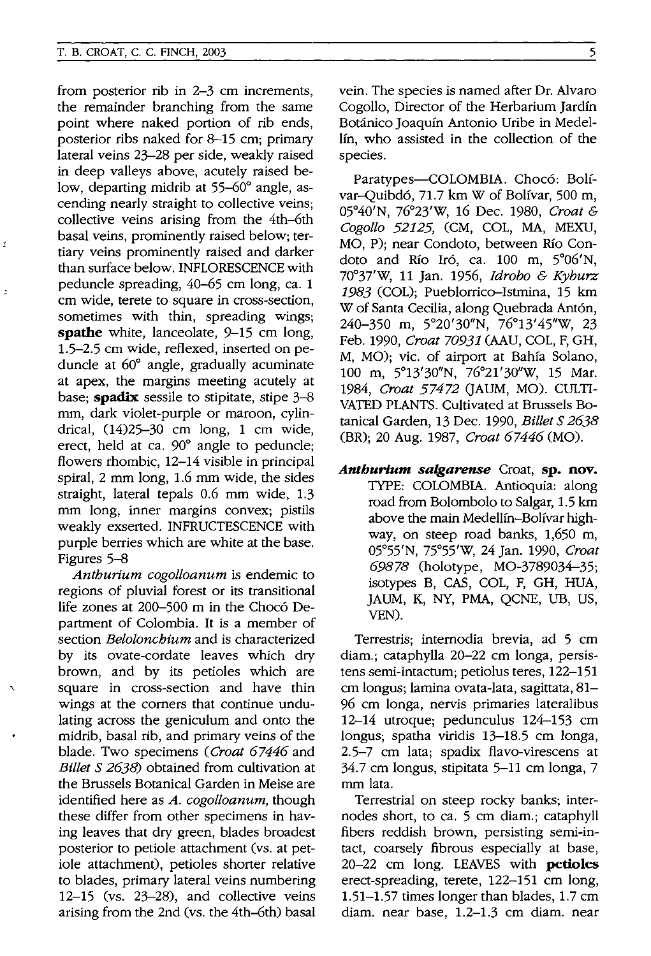from posterior rib in 2-3 cm increments, the remainder branching from the same point where naked portion of rib ends, posterior ribs naked for 8-15 cm; primary lateral veins 23-28 per side, weakly raised in deep valleys above, acutely raised below, departing midrib at 55-60° angle, ascending nearly straight to collective veins; collective veins arising from the 4th-6th basal veins, prominently raised below; tertiary veins prominently raised and darker than surface below. INFLORESCENCE with peduncle spreading, 40-65 cm long, ca. 1 cm wide, terete to square in cross-section, sometimes with thin, spreading wings; **spathe** white, lanceolate, 9-15 cm long, 1.5-2.5 cm wide, reflexed, inserted on peduncle at 60° angle, gradually acuminate at apex, the margins meeting acutely at base; **spadix** sessile to stipitate, stipe 3-8 mm, dark violet-purple or maroon, cylindrical, (14)25-30 cm long, 1 cm wide, erect, held at ca. 90° angle to peduncle; flowers rhombic, 12-14 visible in principal spiral, 2 mm long, 1.6 mm wide, the sides straight, lateral tepals 0.6 mm wide, 1.3 mm long, inner margins convex; pistils weakly exserted. INFRUCTESCENCE with purple berries which are white at the base. Figures 5-8

*Antburium cogolloanum* is endemic to regions of pluvial forest or its transitional life zones at 200-500 m in the Choco Department of Colombia. It is a member of section *Beloloncbium* and is characterized by its ovate-cordate leaves which dry brown, and by its petioles which are square in cross-section and have thin wings at the corners that continue undulating across the geniculum and onto the midrib, basal rib, and primary veins of the blade. Two specimens *(Croat* 67446 and *Billet* S 2638) obtained from cultivation at the Brussels Botanical Garden in Meise are identified here as *A. cogolloanum,* though these differ from other specimens in having leaves that dry green, blades broadest posterior to petiole attachment (vs. at petiole attachment), petioles shorter relative to blades, primary lateral veins numbering 12-15 (vs. 23-28), and collective veins arising from the 2nd (vs. the 4th-6th) basal

'.

vein. The species is named after Dr. Alvaro Cogollo, Director of the Herbarium Jardin Botanico Joaquin Antonio Uribe in Medellín, who assisted in the collection of the species.

Paratypes-COLOMBIA. Chocó: Bolívar-Quibdó, 71.7 km W of Bolívar, 500 m, 05°40'N, 76°23'W, 16 Dec. 1980, *Croat & Cogollo* 52125, (CM, COL, MA, MEXU, MO, P); near Condoto, between Rio Condoto and Río Iró, ca. 100 m, 5°06'N, 700 37'W, 11 Jan. 1956, *Idrobo* & *Kyburz*  1983 (COL); Pueblorrico-Istmina, 15 km W of Santa Cecilia, along Quebrada Antón, 240-350 m, 5°20'30"N, 76°13'45"W, 23 Feb. 1990, *Croat 70931* (AAU, COL, F, GH, M, MO); vic. of airport at Bahia Solano, 100 m, 5°13'30"N, 76°21'30"W, 15 Mar. 1984, *Croat* 57472 (JAUM, MO). CULTI-VATED PLANTS. Cultivated at Brussels Botanical Garden, 13 Dec. 1990, *Billet* S 2638 (BR); 20 Aug. 1987, *Croat* 67446 (MO).

*Anthurlum salgarense* Croat, **sp. nov.**  TYPE: COLOMBIA. Antioquia: along road from Bolombolo to Salgar, 1.5 km above the main Medellín-Bolívar highway, on steep road banks, 1,650 m, 05°55'N, 75°55'W, 24 Jan. 1990, *Croat*  69878 (holotype, MO-3789034-35; isotypes B, CAS, COL, F, GH, HUA, JAUM, K, NY, PMA, QCNE, UB, US, VEN).

Terrestris; internodia brevia, ad 5 cm diam.; cataphylla 20-22 cm longa, persistens semi-intactum; petiolus teres, 122-151 cm longus; lamina ovata-Iata, sagittata, 81- 96 cm longa, nervis primaries lateralibus 12-14 utroque; pedunculus 124-153 cm longus; spatha viridis 13-18.5 cm longa, 2.5-7 cm lata; spadix flavo-virescens at 34.7 cm longus, stipitata 5-11 cm longa, 7 mm lata.

Terrestrial on steep rocky banks; internodes short, to ca. 5 cm diam.; cataphyll fibers reddish brown, persisting semi-intact, coarsely fibrous especially at base, 20-22 cm long. LEAVES with **petioles**  erect-spreading, terete, 122-151 cm long, 1.51-1.57 times longer than blades, 1.7 cm diam. near base, 1.2-1.3 cm diam. near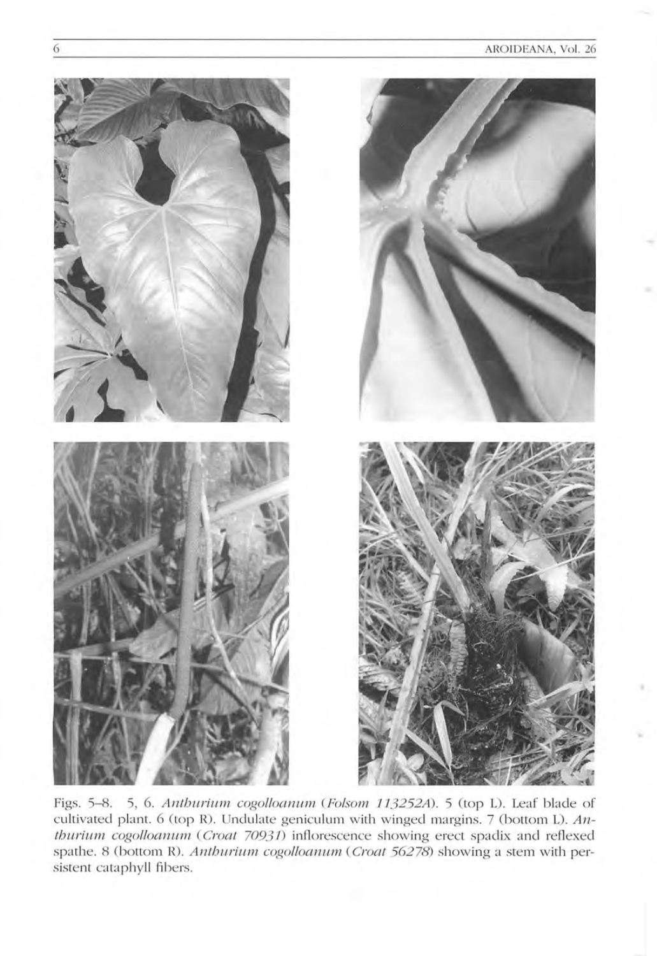

Figs. 5-8. 5, 6. Anthurium cogolloanum (Folsom 113252A). 5 (top L). Leaf blade of cultivated plant. 6 (top R). Undulate geniculum with winged margins. 7 (bottom L). Anthurium cogolloanum (Croat 70931) inflorescence showing erect spadix and reflexed spathe. 8 (bottom R). Anthurium cogolloanum (Croat 56278) showing a stem with persistent cataphyll fibers.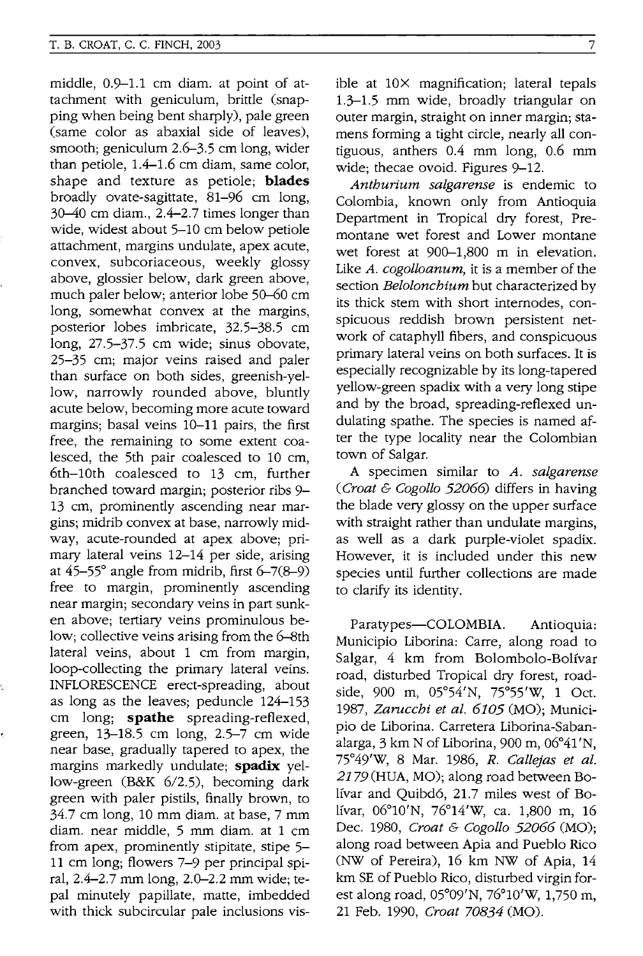middle, 0.9-1.1 cm diam. at point of attachment with geniculum, brittle (snapping when being bent sharply), pale green (same color as abaxial side of leaves), smooth; geniculum 2.6-3.5 cm long, wider than petiole, 1.4-1.6 cm diam, same color, shape and texture as petiole; **blades**  broadly ovate-sagittate, 81-96 cm long, 30-40 cm diam., 2.4-2.7 times longer than wide, widest about 5-10 cm below petiole attachment, margins undulate, apex acute, convex, subcoriaceous, weekly glossy above, glossier below, dark green above, much paler below; anterior lobe 50-60 cm long, somewhat convex at the margins, posterior lobes imbricate, 32.5-38.5 cm long, 27.5-37.5 cm wide; sinus obovate, 25-35 cm; major veins raised and paler than surface on both sides, greenish-yellow, narrowly rounded above, bluntly acute below, becoming more acute toward margins; basal veins 10-11 pairs, the first free, the remaining to some extent coalesced, the 5th pair coalesced to 10 cm, 6th-10th coalesced to 13 cm, further branched toward margin; posterior ribs 9- 13 cm, prominently ascending near margins; midrib convex at base, narrowly midway, acute-rounded at apex above; primary lateral veins 12-14 per side, arising at *45-55°* angle from midrib, first 6-7(8-9) free to margin, prominently ascending near margin; secondary veins in part sunken above; tertiary veins prominulous below; collective veins arising from the 6-8th lateral veins, about 1 cm from margin, loop-collecting the primary lateral veins. INFLORESCENCE erect-spreading, about as long as the leaves; peduncle 124-153 cm long; **spathe** spreading-reflexed, green, 13-18.5 cm long, 2.5-7 cm wide near base, gradually tapered to apex, the margins markedly undulate; **spadix** yellow-green (B&K  $6/2.5$ ), becoming dark green with paler pistils, finally brown, to 34.7 cm long, 10 mm diam. at base, 7 mm diam. near middle, 5 mm diam. at 1 cm from apex, prominently stipitate, stipe 5- 11 cm long; flowers 7-9 per principal spiral, 2.4-2.7 mm long, 2.0-2.2 mm wide; tepal minutely papillate, matte, imbedded with thick subcircular pale inclusions visible at lOX magnification; lateral tepals 1.3-1.5 mm wide, broadly triangular on outer margin, straight on inner margin; stamens forming a tight circle, nearly all contiguous, anthers 0.4 mm long, 0.6 mm wide; thecae ovoid. Figures 9-12.

*Antburium salgarense* is endemic to Colombia, known only from Antioquia Department in Tropical dry forest, Premontane wet forest and Lower montane wet forest at 900-1,800 m in elevation. Like *A. cogolloanum,* it is a member of the section *Beloloncbium* but characterized by its thick stem with short internodes, conspicuous reddish brown persistent network of cataphyll fibers, and conspicuous primary lateral veins on both surfaces. It is especially recognizable by its long-tapered yellow-green spadix with a very long stipe and by the broad, spreading-reflexed undulating spathe. The species is named after the type locality near the Colombian town of Salgar.

A specimen similar to *A. salgarense (Croat* & *Cogollo 52066)* differs in having the blade very glossy on the upper surface with straight rather than undulate margins, as well as a dark purple-violet spadix. However, it is included under this new species until further collections are made to clarify its identity.

Paratypes-COLOMBIA. Antioquia: Municipio Liborina: Carre, along road to Salgar, 4 km from Bolombolo-Bolfvar road, disturbed Tropical dry forest, roadside, 900 m, 05°54'N, 75°55'W, 1 Oct. *1987, Zaruccbi et al. 6105* (MO); Municipio de Liborina. Carretera Liborina-Sabanalarga, 3 km N of Liborina, 900 m, 06°41'N, 75°49'W, 8 Mar. 1986, *R. Callejas et al.*  2179 (HUA, MO); along road between Bo-Ifvar and Quibd6, 21.7 miles west of Bo-Ifvar, 06°10'N, 76°14'W, ca. 1,800 m, 16 Dec. 1980, *Croat* & *Cogollo 52066* (MO); along road between Apia and Pueblo Rico (NW of Pereira), 16 km NW of Apia, 14 km SE of Pueblo Rico, disturbed virgin forest along road, 05°09'N, 76°1O'W, 1,750 m, 21 Feb. 1990, *Croat 70834* (MO).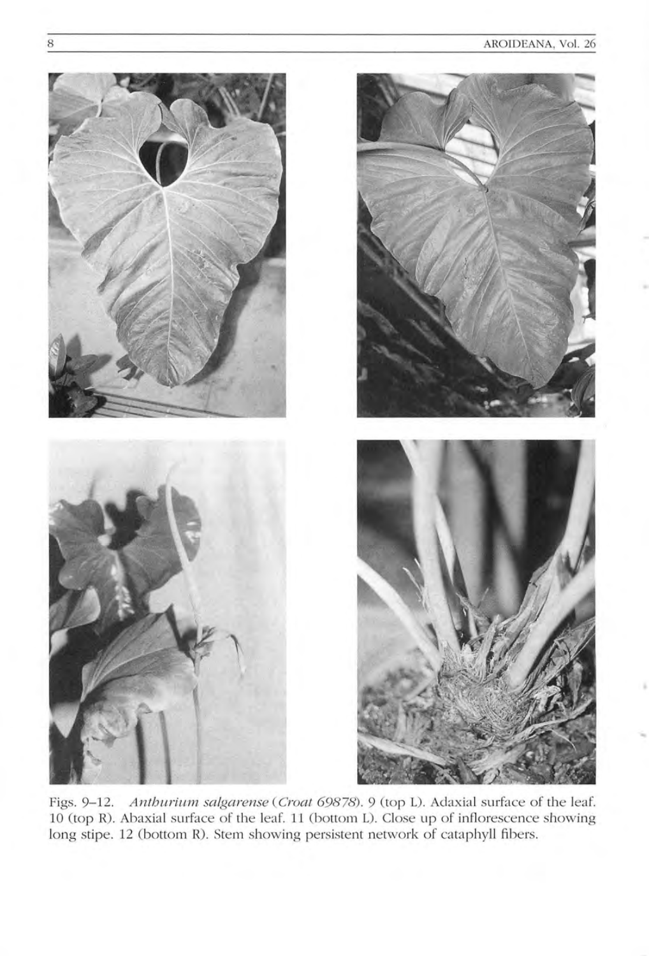

Figs. 9-12. Anthurium salgarense (Croat 69878). 9 (top L). Adaxial surface of the leaf. 10 (top R). Abaxial surface of the leaf. 11 (bottom L). Close up of inflorescence showing long stipe. 12 (bottom R). Stem showing persistent network of cataphyll fibers.